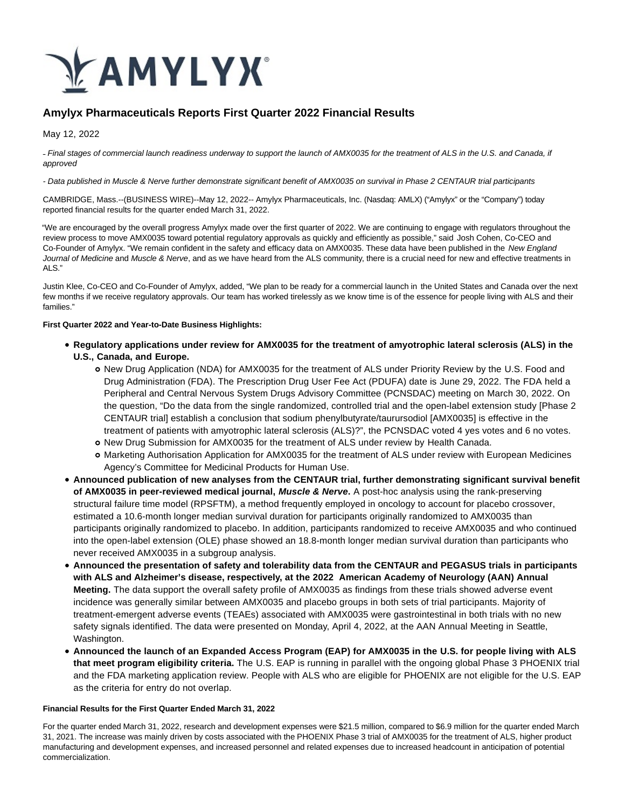

# **Amylyx Pharmaceuticals Reports First Quarter 2022 Financial Results**

May 12, 2022

- Final stages of commercial launch readiness underway to support the launch of AMX0035 for the treatment of ALS in the U.S. and Canada, if approved

#### - Data published in Muscle & Nerve further demonstrate significant benefit of AMX0035 on survival in Phase 2 CENTAUR trial participants

CAMBRIDGE, Mass.--(BUSINESS WIRE)--May 12, 2022-- Amylyx Pharmaceuticals, Inc. (Nasdaq: AMLX) ("Amylyx" or the "Company") today reported financial results for the quarter ended March 31, 2022.

"We are encouraged by the overall progress Amylyx made over the first quarter of 2022. We are continuing to engage with regulators throughout the review process to move AMX0035 toward potential regulatory approvals as quickly and efficiently as possible," said Josh Cohen, Co-CEO and Co-Founder of Amylyx. "We remain confident in the safety and efficacy data on AMX0035. These data have been published in the New England Journal of Medicine and Muscle & Nerve, and as we have heard from the ALS community, there is a crucial need for new and effective treatments in ALS."

Justin Klee, Co-CEO and Co-Founder of Amylyx, added, "We plan to be ready for a commercial launch in the United States and Canada over the next few months if we receive regulatory approvals. Our team has worked tirelessly as we know time is of the essence for people living with ALS and their families."

#### **First Quarter 2022 and Year-to-Date Business Highlights:**

- **Regulatory applications under review for AMX0035 for the treatment of amyotrophic lateral sclerosis (ALS) in the U.S., Canada, and Europe.**
	- o New Drug Application (NDA) for AMX0035 for the treatment of ALS under Priority Review by the U.S. Food and Drug Administration (FDA). The Prescription Drug User Fee Act (PDUFA) date is June 29, 2022. The FDA held a Peripheral and Central Nervous System Drugs Advisory Committee (PCNSDAC) meeting on March 30, 2022. On the question, "Do the data from the single randomized, controlled trial and the open-label extension study [Phase 2 CENTAUR trial] establish a conclusion that sodium phenylbutyrate/taurursodiol [AMX0035] is effective in the treatment of patients with amyotrophic lateral sclerosis (ALS)?", the PCNSDAC voted 4 yes votes and 6 no votes.
	- o New Drug Submission for AMX0035 for the treatment of ALS under review by Health Canada.
	- Marketing Authorisation Application for AMX0035 for the treatment of ALS under review with European Medicines Agency's Committee for Medicinal Products for Human Use.
- **Announced publication of new analyses from the CENTAUR trial, further demonstrating significant survival benefit of AMX0035 in peer-reviewed medical journal, Muscle & Nerve.** A post-hoc analysis using the rank-preserving structural failure time model (RPSFTM), a method frequently employed in oncology to account for placebo crossover, estimated a 10.6-month longer median survival duration for participants originally randomized to AMX0035 than participants originally randomized to placebo. In addition, participants randomized to receive AMX0035 and who continued into the open-label extension (OLE) phase showed an 18.8-month longer median survival duration than participants who never received AMX0035 in a subgroup analysis.
- **Announced the presentation of safety and tolerability data from the CENTAUR and PEGASUS trials in participants with ALS and Alzheimer's disease, respectively, at the 2022 American Academy of Neurology (AAN) Annual Meeting.** The data support the overall safety profile of AMX0035 as findings from these trials showed adverse event incidence was generally similar between AMX0035 and placebo groups in both sets of trial participants. Majority of treatment-emergent adverse events (TEAEs) associated with AMX0035 were gastrointestinal in both trials with no new safety signals identified. The data were presented on Monday, April 4, 2022, at the AAN Annual Meeting in Seattle, Washington.
- **Announced the launch of an Expanded Access Program (EAP) for AMX0035 in the U.S. for people living with ALS that meet program eligibility criteria.** The U.S. EAP is running in parallel with the ongoing global Phase 3 PHOENIX trial and the FDA marketing application review. People with ALS who are eligible for PHOENIX are not eligible for the U.S. EAP as the criteria for entry do not overlap.

#### **Financial Results for the First Quarter Ended March 31, 2022**

For the quarter ended March 31, 2022, research and development expenses were \$21.5 million, compared to \$6.9 million for the quarter ended March 31, 2021. The increase was mainly driven by costs associated with the PHOENIX Phase 3 trial of AMX0035 for the treatment of ALS, higher product manufacturing and development expenses, and increased personnel and related expenses due to increased headcount in anticipation of potential commercialization.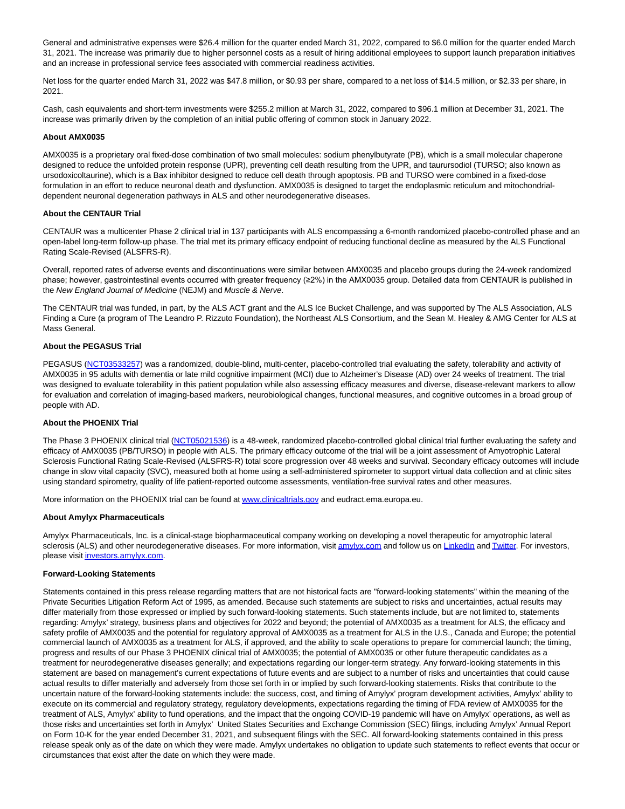General and administrative expenses were \$26.4 million for the quarter ended March 31, 2022, compared to \$6.0 million for the quarter ended March 31, 2021. The increase was primarily due to higher personnel costs as a result of hiring additional employees to support launch preparation initiatives and an increase in professional service fees associated with commercial readiness activities.

Net loss for the quarter ended March 31, 2022 was \$47.8 million, or \$0.93 per share, compared to a net loss of \$14.5 million, or \$2.33 per share, in 2021.

Cash, cash equivalents and short-term investments were \$255.2 million at March 31, 2022, compared to \$96.1 million at December 31, 2021. The increase was primarily driven by the completion of an initial public offering of common stock in January 2022.

#### **About AMX0035**

AMX0035 is a proprietary oral fixed-dose combination of two small molecules: sodium phenylbutyrate (PB), which is a small molecular chaperone designed to reduce the unfolded protein response (UPR), preventing cell death resulting from the UPR, and taurursodiol (TURSO; also known as ursodoxicoltaurine), which is a Bax inhibitor designed to reduce cell death through apoptosis. PB and TURSO were combined in a fixed-dose formulation in an effort to reduce neuronal death and dysfunction. AMX0035 is designed to target the endoplasmic reticulum and mitochondrialdependent neuronal degeneration pathways in ALS and other neurodegenerative diseases.

### **About the CENTAUR Trial**

CENTAUR was a multicenter Phase 2 clinical trial in 137 participants with ALS encompassing a 6-month randomized placebo-controlled phase and an open-label long-term follow-up phase. The trial met its primary efficacy endpoint of reducing functional decline as measured by the ALS Functional Rating Scale-Revised (ALSFRS-R).

Overall, reported rates of adverse events and discontinuations were similar between AMX0035 and placebo groups during the 24-week randomized phase; however, gastrointestinal events occurred with greater frequency (≥2%) in the AMX0035 group. Detailed data from CENTAUR is published in the New England Journal of Medicine (NEJM) and Muscle & Nerve.

The CENTAUR trial was funded, in part, by the ALS ACT grant and the ALS Ice Bucket Challenge, and was supported by The ALS Association, ALS Finding a Cure (a program of The Leandro P. Rizzuto Foundation), the Northeast ALS Consortium, and the Sean M. Healey & AMG Center for ALS at Mass General.

#### **About the PEGASUS Trial**

PEGASUS [\(NCT03533257\)](https://cts.businesswire.com/ct/CT?id=smartlink&url=https%3A%2F%2Fclinicaltrials.gov%2Fct2%2Fshow%2FNCT03533257%3Fterm%3Dpegasus%26cond%3DAlzheimer%2BDisease%26draw%3D2%26rank%3D1&esheet=52717004&newsitemid=20220512005325&lan=en-US&anchor=NCT03533257&index=1&md5=9c059b46ef4744e5bcd02212e1229e6f) was a randomized, double-blind, multi-center, placebo-controlled trial evaluating the safety, tolerability and activity of AMX0035 in 95 adults with dementia or late mild cognitive impairment (MCI) due to Alzheimer's Disease (AD) over 24 weeks of treatment. The trial was designed to evaluate tolerability in this patient population while also assessing efficacy measures and diverse, disease-relevant markers to allow for evaluation and correlation of imaging-based markers, neurobiological changes, functional measures, and cognitive outcomes in a broad group of people with AD.

#### **About the PHOENIX Trial**

The Phase 3 PHOENIX clinical trial [\(NCT05021536\)](https://cts.businesswire.com/ct/CT?id=smartlink&url=https%3A%2F%2Fclinicaltrials.gov%2Fct2%2Fshow%2FNCT05021536%3Fterm%3DNCT05021536%26draw%3D2%26rank%3D1&esheet=52717004&newsitemid=20220512005325&lan=en-US&anchor=NCT05021536&index=2&md5=41b7bce4a93b73bf4165b2a4cf4f7fed) is a 48-week, randomized placebo-controlled global clinical trial further evaluating the safety and efficacy of AMX0035 (PB/TURSO) in people with ALS. The primary efficacy outcome of the trial will be a joint assessment of Amyotrophic Lateral Sclerosis Functional Rating Scale-Revised (ALSFRS-R) total score progression over 48 weeks and survival. Secondary efficacy outcomes will include change in slow vital capacity (SVC), measured both at home using a self-administered spirometer to support virtual data collection and at clinic sites using standard spirometry, quality of life patient-reported outcome assessments, ventilation-free survival rates and other measures.

More information on the PHOENIX trial can be found a[t www.clinicaltrials.gov a](https://cts.businesswire.com/ct/CT?id=smartlink&url=http%3A%2F%2Fwww.clinicaltrials.gov&esheet=52717004&newsitemid=20220512005325&lan=en-US&anchor=www.clinicaltrials.gov&index=3&md5=c3dbb78bf2dae43afb2ebc8ff53f72be)nd eudract.ema.europa.eu.

#### **About Amylyx Pharmaceuticals**

Amylyx Pharmaceuticals, Inc. is a clinical-stage biopharmaceutical company working on developing a novel therapeutic for amyotrophic lateral sclerosis (ALS) and other neurodegenerative diseases. For more information, visi[t amylyx.com a](https://cts.businesswire.com/ct/CT?id=smartlink&url=http%3A%2F%2Famylyx.com&esheet=52717004&newsitemid=20220512005325&lan=en-US&anchor=amylyx.com&index=4&md5=845c5be8179ca1c6a8d8f72d345b2a14)nd follow us on [LinkedIn a](https://cts.businesswire.com/ct/CT?id=smartlink&url=https%3A%2F%2Fwww.linkedin.com%2Fcompany%2Famylyx&esheet=52717004&newsitemid=20220512005325&lan=en-US&anchor=LinkedIn&index=5&md5=9da90d03cf051b17a125437578409bdb)n[d Twitter.](https://cts.businesswire.com/ct/CT?id=smartlink&url=https%3A%2F%2Ftwitter.com%2FAmylyxPharma&esheet=52717004&newsitemid=20220512005325&lan=en-US&anchor=Twitter&index=6&md5=699c6e10d2df0913c1b8226d045bcd37) For investors, please visi[t investors.amylyx.com.](https://cts.businesswire.com/ct/CT?id=smartlink&url=http%3A%2F%2Finvestors.amylyx.com&esheet=52717004&newsitemid=20220512005325&lan=en-US&anchor=investors.amylyx.com&index=7&md5=d517eb22491215fe70042aaaf3d7a022)

#### **Forward-Looking Statements**

Statements contained in this press release regarding matters that are not historical facts are "forward-looking statements" within the meaning of the Private Securities Litigation Reform Act of 1995, as amended. Because such statements are subject to risks and uncertainties, actual results may differ materially from those expressed or implied by such forward-looking statements. Such statements include, but are not limited to, statements regarding: Amylyx' strategy, business plans and objectives for 2022 and beyond; the potential of AMX0035 as a treatment for ALS, the efficacy and safety profile of AMX0035 and the potential for regulatory approval of AMX0035 as a treatment for ALS in the U.S., Canada and Europe; the potential commercial launch of AMX0035 as a treatment for ALS, if approved, and the ability to scale operations to prepare for commercial launch; the timing, progress and results of our Phase 3 PHOENIX clinical trial of AMX0035; the potential of AMX0035 or other future therapeutic candidates as a treatment for neurodegenerative diseases generally; and expectations regarding our longer-term strategy. Any forward-looking statements in this statement are based on management's current expectations of future events and are subject to a number of risks and uncertainties that could cause actual results to differ materially and adversely from those set forth in or implied by such forward-looking statements. Risks that contribute to the uncertain nature of the forward-looking statements include: the success, cost, and timing of Amylyx' program development activities, Amylyx' ability to execute on its commercial and regulatory strategy, regulatory developments, expectations regarding the timing of FDA review of AMX0035 for the treatment of ALS, Amylyx' ability to fund operations, and the impact that the ongoing COVID-19 pandemic will have on Amylyx' operations, as well as those risks and uncertainties set forth in Amylyx' United States Securities and Exchange Commission (SEC) filings, including Amylyx' Annual Report on Form 10-K for the year ended December 31, 2021, and subsequent filings with the SEC. All forward-looking statements contained in this press release speak only as of the date on which they were made. Amylyx undertakes no obligation to update such statements to reflect events that occur or circumstances that exist after the date on which they were made.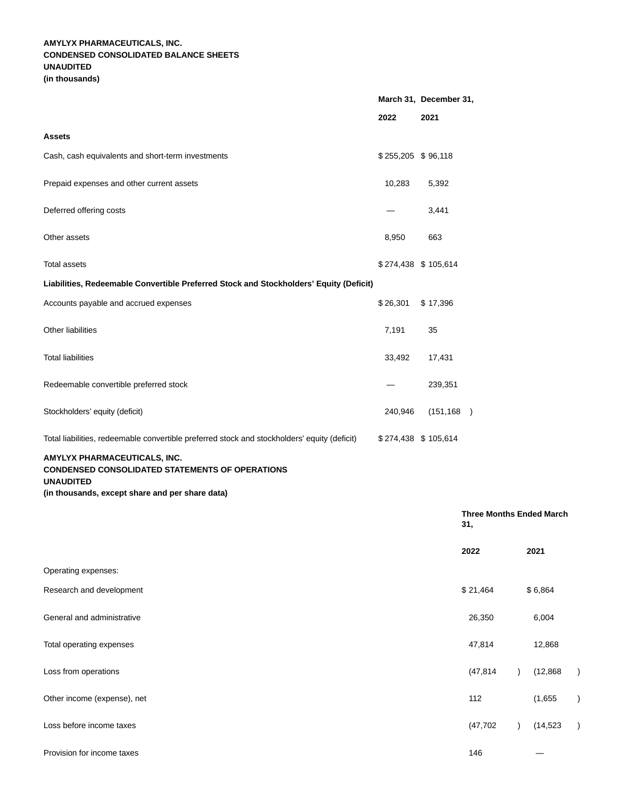## **AMYLYX PHARMACEUTICALS, INC. CONDENSED CONSOLIDATED BALANCE SHEETS UNAUDITED (in thousands)**

|                                                                                              | March 31, December 31, |            |  |
|----------------------------------------------------------------------------------------------|------------------------|------------|--|
|                                                                                              | 2022                   | 2021       |  |
| <b>Assets</b>                                                                                |                        |            |  |
| Cash, cash equivalents and short-term investments                                            | $$255,205$ $$96,118$   |            |  |
| Prepaid expenses and other current assets                                                    | 10,283                 | 5,392      |  |
| Deferred offering costs                                                                      |                        | 3,441      |  |
| Other assets                                                                                 | 8,950                  | 663        |  |
| <b>Total assets</b>                                                                          | \$274,438 \$105,614    |            |  |
| Liabilities, Redeemable Convertible Preferred Stock and Stockholders' Equity (Deficit)       |                        |            |  |
| Accounts payable and accrued expenses                                                        | \$26,301               | \$17,396   |  |
| <b>Other liabilities</b>                                                                     | 7,191                  | 35         |  |
| <b>Total liabilities</b>                                                                     | 33,492                 | 17,431     |  |
| Redeemable convertible preferred stock                                                       |                        | 239,351    |  |
| Stockholders' equity (deficit)                                                               | 240,946                | (151, 168) |  |
| Total liabilities, redeemable convertible preferred stock and stockholders' equity (deficit) | \$274,438 \$105,614    |            |  |
| AMYLYX PHARMACEUTICALS, INC.<br>TEMENTO OF OBERATION                                         |                        |            |  |

**CONDENSED CONSOLIDATED STATEMENTS OF OPERATIONS**

**UNAUDITED**

**(in thousands, except share and per share data)**

|                             | <b>Three Months Ended March</b><br>31, |  |           |           |
|-----------------------------|----------------------------------------|--|-----------|-----------|
|                             | 2022                                   |  | 2021      |           |
| Operating expenses:         |                                        |  |           |           |
| Research and development    | \$21,464                               |  | \$6,864   |           |
| General and administrative  | 26,350                                 |  | 6,004     |           |
| Total operating expenses    | 47,814                                 |  | 12,868    |           |
| Loss from operations        | (47, 814)                              |  | (12, 868) |           |
| Other income (expense), net | 112                                    |  | (1,655)   |           |
| Loss before income taxes    | (47, 702)                              |  | (14, 523) | $\lambda$ |
| Provision for income taxes  | 146                                    |  |           |           |